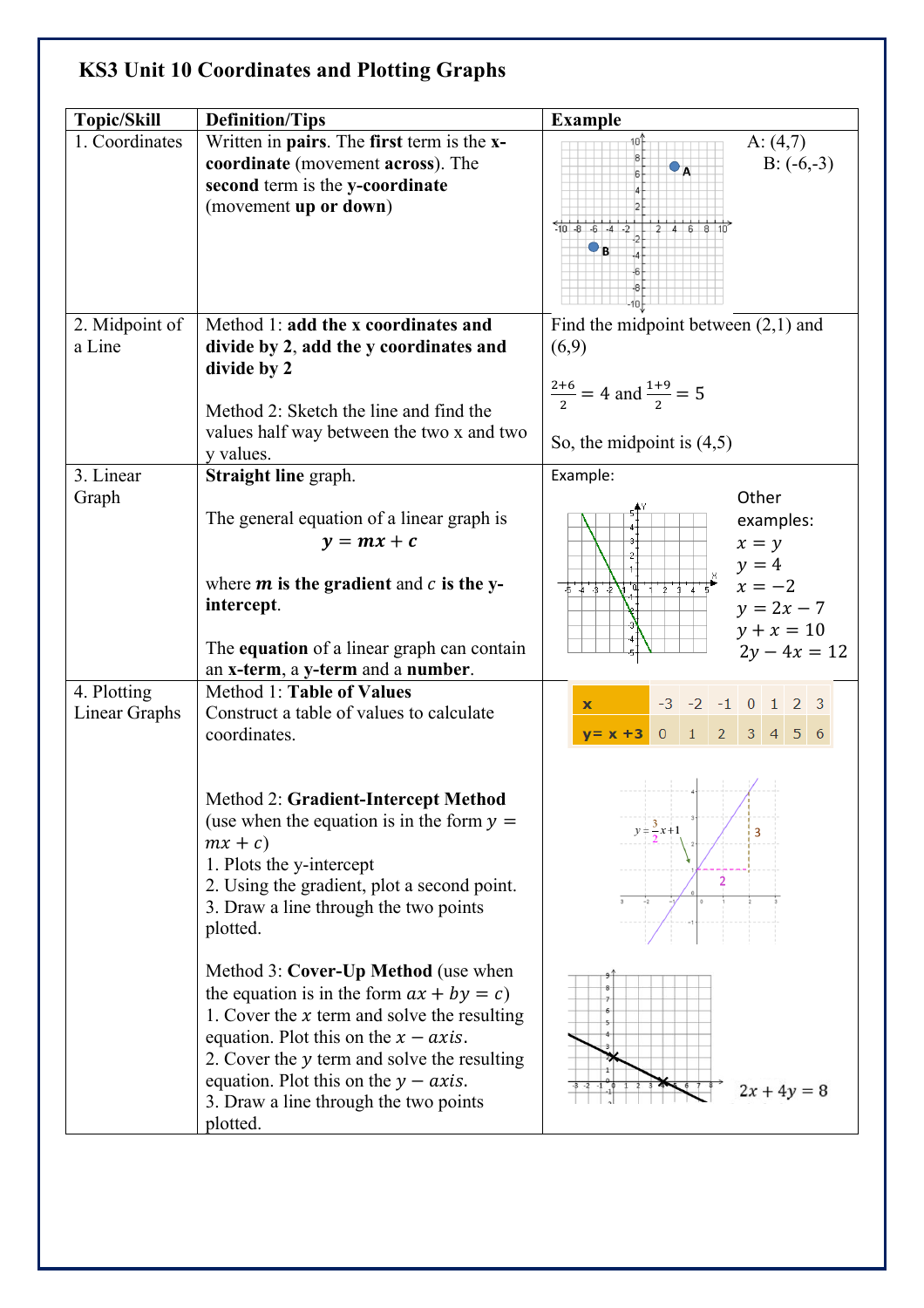## **KS3 Unit 10 Coordinates and Plotting Graphs**

| <b>Topic/Skill</b>           | <b>Definition/Tips</b>                                                                                                                                                                                                                                                                                                        | <b>Example</b>                                                                                                               |
|------------------------------|-------------------------------------------------------------------------------------------------------------------------------------------------------------------------------------------------------------------------------------------------------------------------------------------------------------------------------|------------------------------------------------------------------------------------------------------------------------------|
| 1. Coordinates               | Written in pairs. The first term is the x-<br>coordinate (movement across). The<br>second term is the y-coordinate<br>(movement up or down)                                                                                                                                                                                   | A: $(4,7)$<br>$B: (-6,-3)$<br>$-10 - 8 - 6 - 4 - 2$<br>246810<br>$\bullet$ B                                                 |
| 2. Midpoint of<br>a Line     | Method 1: add the x coordinates and<br>divide by 2, add the y coordinates and<br>divide by 2<br>Method 2: Sketch the line and find the<br>values half way between the two x and two                                                                                                                                           | Find the midpoint between $(2,1)$ and<br>(6,9)<br>$\frac{2+6}{2}$ = 4 and $\frac{1+9}{2}$ = 5<br>So, the midpoint is $(4,5)$ |
|                              | y values.                                                                                                                                                                                                                                                                                                                     |                                                                                                                              |
| 3. Linear<br>Graph           | Straight line graph.<br>The general equation of a linear graph is<br>$y = mx + c$<br>where $m$ is the gradient and $c$ is the y-<br>intercept.                                                                                                                                                                                | Example:<br>Other<br>examples:<br>$x = y$<br>$y = 4$<br>$x = -2$<br>$-5 - 4 - 5 - 2$<br>$y = 2x - 7$<br>$y + x = 10$         |
|                              | The equation of a linear graph can contain<br>an x-term, a y-term and a number.                                                                                                                                                                                                                                               | $2y - 4x = 12$                                                                                                               |
| 4. Plotting<br>Linear Graphs | Method 1: Table of Values<br>Construct a table of values to calculate<br>coordinates.                                                                                                                                                                                                                                         | $-3$ $-2$ $-1$ 0 1 2 3<br>$\mathbf{x}$<br>$0 \t1 \t2 \t3 \t4 \t5 \t6$<br>$y = x + 3$                                         |
|                              | Method 2: Gradient-Intercept Method<br>(use when the equation is in the form $y =$<br>$mx + c$<br>1. Plots the y-intercept<br>2. Using the gradient, plot a second point.<br>3. Draw a line through the two points<br>plotted.                                                                                                | $y = \frac{3}{2}x + 1$<br>3<br>$\overline{2}$                                                                                |
|                              | Method 3: Cover-Up Method (use when<br>the equation is in the form $ax + by = c$ )<br>1. Cover the $x$ term and solve the resulting<br>equation. Plot this on the $x - axis$ .<br>2. Cover the y term and solve the resulting<br>equation. Plot this on the $y - axis$ .<br>3. Draw a line through the two points<br>plotted. | $2x + 4y = 8$                                                                                                                |